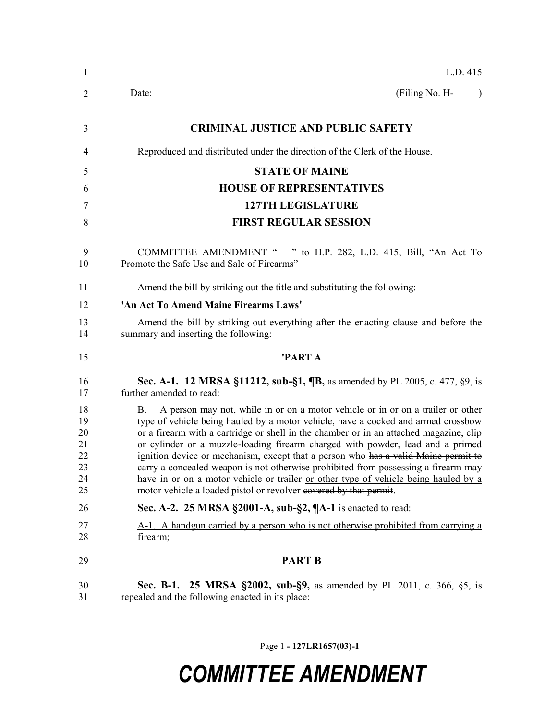| $\mathbf{1}$                                 | L.D. 415                                                                                                                                                                                                                                                                                                                                                                                                                                                                                                                                                                                                                                                                                              |
|----------------------------------------------|-------------------------------------------------------------------------------------------------------------------------------------------------------------------------------------------------------------------------------------------------------------------------------------------------------------------------------------------------------------------------------------------------------------------------------------------------------------------------------------------------------------------------------------------------------------------------------------------------------------------------------------------------------------------------------------------------------|
| 2                                            | (Filing No. H-<br>Date:                                                                                                                                                                                                                                                                                                                                                                                                                                                                                                                                                                                                                                                                               |
| 3                                            | <b>CRIMINAL JUSTICE AND PUBLIC SAFETY</b>                                                                                                                                                                                                                                                                                                                                                                                                                                                                                                                                                                                                                                                             |
| $\overline{4}$                               | Reproduced and distributed under the direction of the Clerk of the House.                                                                                                                                                                                                                                                                                                                                                                                                                                                                                                                                                                                                                             |
| 5                                            | <b>STATE OF MAINE</b>                                                                                                                                                                                                                                                                                                                                                                                                                                                                                                                                                                                                                                                                                 |
| 6                                            | <b>HOUSE OF REPRESENTATIVES</b>                                                                                                                                                                                                                                                                                                                                                                                                                                                                                                                                                                                                                                                                       |
| 7                                            | <b>127TH LEGISLATURE</b>                                                                                                                                                                                                                                                                                                                                                                                                                                                                                                                                                                                                                                                                              |
| 8                                            | <b>FIRST REGULAR SESSION</b>                                                                                                                                                                                                                                                                                                                                                                                                                                                                                                                                                                                                                                                                          |
| 9<br>10                                      | <b>COMMITTEE AMENDMENT "</b><br>" to H.P. 282, L.D. 415, Bill, "An Act To<br>Promote the Safe Use and Sale of Firearms"                                                                                                                                                                                                                                                                                                                                                                                                                                                                                                                                                                               |
| 11                                           | Amend the bill by striking out the title and substituting the following:                                                                                                                                                                                                                                                                                                                                                                                                                                                                                                                                                                                                                              |
| 12                                           | 'An Act To Amend Maine Firearms Laws'                                                                                                                                                                                                                                                                                                                                                                                                                                                                                                                                                                                                                                                                 |
| 13<br>14                                     | Amend the bill by striking out everything after the enacting clause and before the<br>summary and inserting the following:                                                                                                                                                                                                                                                                                                                                                                                                                                                                                                                                                                            |
| 15                                           | 'PART A                                                                                                                                                                                                                                                                                                                                                                                                                                                                                                                                                                                                                                                                                               |
| 16<br>17                                     | Sec. A-1. 12 MRSA §11212, sub-§1, ¶B, as amended by PL 2005, c. 477, §9, is<br>further amended to read:                                                                                                                                                                                                                                                                                                                                                                                                                                                                                                                                                                                               |
| 18<br>19<br>20<br>21<br>22<br>23<br>24<br>25 | A person may not, while in or on a motor vehicle or in or on a trailer or other<br>В.<br>type of vehicle being hauled by a motor vehicle, have a cocked and armed crossbow<br>or a firearm with a cartridge or shell in the chamber or in an attached magazine, clip<br>or cylinder or a muzzle-loading firearm charged with powder, lead and a primed<br>ignition device or mechanism, except that a person who has a valid Maine permit to<br>earry a concealed weapon is not otherwise prohibited from possessing a firearm may<br>have in or on a motor vehicle or trailer <u>or other type of vehicle being hauled by a</u><br>motor vehicle a loaded pistol or revolver eovered by that permit. |
| 26                                           | Sec. A-2. 25 MRSA §2001-A, sub-§2, ¶A-1 is enacted to read:                                                                                                                                                                                                                                                                                                                                                                                                                                                                                                                                                                                                                                           |
| 27<br>28                                     | A-1. A handgun carried by a person who is not otherwise prohibited from carrying a<br>firearm;                                                                                                                                                                                                                                                                                                                                                                                                                                                                                                                                                                                                        |
| 29                                           | <b>PART B</b>                                                                                                                                                                                                                                                                                                                                                                                                                                                                                                                                                                                                                                                                                         |
| 30<br>31                                     | Sec. B-1. 25 MRSA §2002, sub-§9, as amended by PL 2011, c. 366, §5, is<br>repealed and the following enacted in its place:                                                                                                                                                                                                                                                                                                                                                                                                                                                                                                                                                                            |

Page 1 **- 127LR1657(03)-1**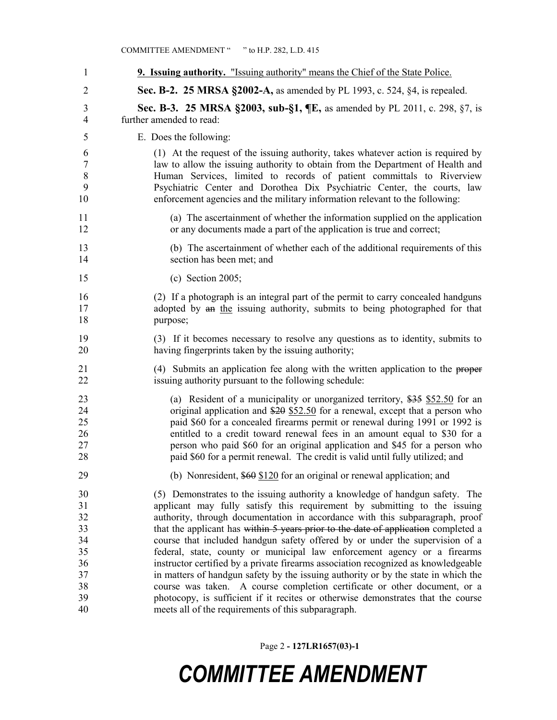#### COMMITTEE AMENDMENT " " to H.P. 282, L.D. 415

| 1              | <b>9. Issuing authority.</b> "Issuing authority" means the Chief of the State Police. |
|----------------|---------------------------------------------------------------------------------------|
| $\overline{2}$ | Sec. B-2. 25 MRSA §2002-A, as amended by PL 1993, c. 524, §4, is repealed.            |
| 3              | Sec. B-3. 25 MRSA §2003, sub-§1, ¶E, as amended by PL 2011, c. 298, §7, is            |
| $\overline{4}$ | further amended to read:                                                              |
| 5              | E. Does the following:                                                                |
| 6              | (1) At the request of the issuing authority, takes whatever action is required by     |
| $\tau$         | law to allow the issuing authority to obtain from the Department of Health and        |
| $8\,$          | Human Services, limited to records of patient committals to Riverview                 |
| 9              | Psychiatric Center and Dorothea Dix Psychiatric Center, the courts, law               |
| 10             | enforcement agencies and the military information relevant to the following:          |
| 11             | (a) The ascertainment of whether the information supplied on the application          |
| 12             | or any documents made a part of the application is true and correct;                  |
| 13             | (b) The ascertainment of whether each of the additional requirements of this          |
| 14             | section has been met; and                                                             |
| 15             | $(c)$ Section 2005;                                                                   |
| 16             | (2) If a photograph is an integral part of the permit to carry concealed handguns     |
| 17             | adopted by an the issuing authority, submits to being photographed for that           |
| 18             | purpose;                                                                              |
| 19             | (3) If it becomes necessary to resolve any questions as to identity, submits to       |
| 20             | having fingerprints taken by the issuing authority;                                   |
| 21             | (4) Submits an application fee along with the written application to the proper       |
| 22             | issuing authority pursuant to the following schedule:                                 |
| 23             | (a) Resident of a municipality or unorganized territory, $$35$ \$52.50 for an         |
| 24             | original application and \$20 \$52.50 for a renewal, except that a person who         |
| 25             | paid \$60 for a concealed firearms permit or renewal during 1991 or 1992 is           |
| 26             | entitled to a credit toward renewal fees in an amount equal to \$30 for a             |
| 27             | person who paid \$60 for an original application and \$45 for a person who            |
| 28             | paid \$60 for a permit renewal. The credit is valid until fully utilized; and         |
| 29             | (b) Nonresident, $$60$ $$120$ for an original or renewal application; and             |
| 30             | (5) Demonstrates to the issuing authority a knowledge of handgun safety. The          |
| 31             | applicant may fully satisfy this requirement by submitting to the issuing             |
| 32             | authority, through documentation in accordance with this subparagraph, proof          |
| 33             | that the applicant has within 5 years prior to the date of application completed a    |
| 34             | course that included handgun safety offered by or under the supervision of a          |
| 35             | federal, state, county or municipal law enforcement agency or a firearms              |
| 36             | instructor certified by a private firearms association recognized as knowledgeable    |
| 37             | in matters of handgun safety by the issuing authority or by the state in which the    |
| 38             | course was taken. A course completion certificate or other document, or a             |
| 39             | photocopy, is sufficient if it recites or otherwise demonstrates that the course      |
| 40             | meets all of the requirements of this subparagraph.                                   |

Page 2 **- 127LR1657(03)-1**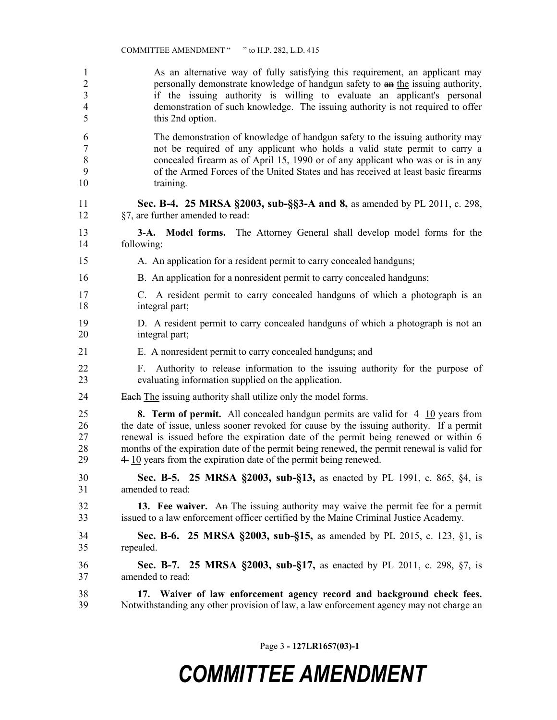As an alternative way of fully satisfying this requirement, an applicant may 2 personally demonstrate knowledge of handgun safety to  $\frac{a_n}{b_n}$  issuing authority, if the issuing authority is willing to evaluate an applicant's personal demonstration of such knowledge. The issuing authority is not required to offer this 2nd option.

 The demonstration of knowledge of handgun safety to the issuing authority may not be required of any applicant who holds a valid state permit to carry a concealed firearm as of April 15, 1990 or of any applicant who was or is in any of the Armed Forces of the United States and has received at least basic firearms 10 training.

#### **Sec. B-4. 25 MRSA §2003, sub-§§3-A and 8,** as amended by PL 2011, c. 298, §7, are further amended to read:

 **3-A. Model forms.** The Attorney General shall develop model forms for the following:

- A. An application for a resident permit to carry concealed handguns;
- B. An application for a nonresident permit to carry concealed handguns;
- C. A resident permit to carry concealed handguns of which a photograph is an integral part;
- D. A resident permit to carry concealed handguns of which a photograph is not an integral part;
- E. A nonresident permit to carry concealed handguns; and
- F. Authority to release information to the issuing authority for the purpose of evaluating information supplied on the application.
- 24 Each The issuing authority shall utilize only the model forms.

**8. Term of permit.** All concealed handgun permits are valid for  $-4$  10 years from the date of issue, unless sooner revoked for cause by the issuing authority. If a permit renewal is issued before the expiration date of the permit being renewed or within 6 months of the expiration date of the permit being renewed, the permit renewal is valid for  $29 \t 4 \t 10$  years from the expiration date of the permit being renewed.

 **Sec. B-5. 25 MRSA §2003, sub-§13,** as enacted by PL 1991, c. 865, §4, is amended to read:

 **13. Fee waiver.** An The issuing authority may waive the permit fee for a permit issued to a law enforcement officer certified by the Maine Criminal Justice Academy.

 **Sec. B-6. 25 MRSA §2003, sub-§15,** as amended by PL 2015, c. 123, §1, is repealed.

 **Sec. B-7. 25 MRSA §2003, sub-§17,** as enacted by PL 2011, c. 298, §7, is amended to read:

 **17. Waiver of law enforcement agency record and background check fees.** 39 Notwithstanding any other provision of law, a law enforcement agency may not charge an

Page 3 **- 127LR1657(03)-1**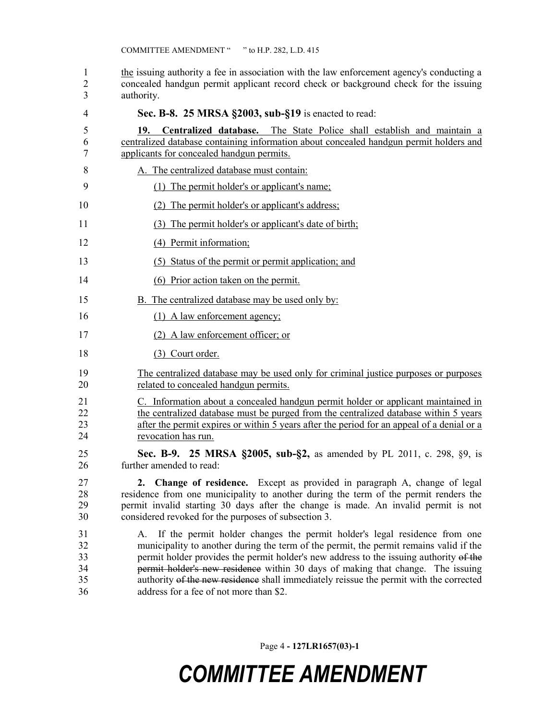1 the issuing authority a fee in association with the law enforcement agency's conducting a concealed handgun permit applicant record check or background check for the issuing authority.

| 4                                | Sec. B-8. 25 MRSA §2003, sub-§19 is enacted to read:                                                                                                                                                                                                                                                                                                                                                                                                                                        |
|----------------------------------|---------------------------------------------------------------------------------------------------------------------------------------------------------------------------------------------------------------------------------------------------------------------------------------------------------------------------------------------------------------------------------------------------------------------------------------------------------------------------------------------|
| 5<br>6<br>7                      | Centralized database. The State Police shall establish and maintain a<br>19.<br>centralized database containing information about concealed handgun permit holders and<br>applicants for concealed handgun permits.                                                                                                                                                                                                                                                                         |
| 8                                | A. The centralized database must contain:                                                                                                                                                                                                                                                                                                                                                                                                                                                   |
| 9                                | (1) The permit holder's or applicant's name;                                                                                                                                                                                                                                                                                                                                                                                                                                                |
| 10                               | The permit holder's or applicant's address;<br>(2)                                                                                                                                                                                                                                                                                                                                                                                                                                          |
| 11                               | The permit holder's or applicant's date of birth;<br>(3)                                                                                                                                                                                                                                                                                                                                                                                                                                    |
| 12                               | (4) Permit information;                                                                                                                                                                                                                                                                                                                                                                                                                                                                     |
| 13                               | (5) Status of the permit or permit application; and                                                                                                                                                                                                                                                                                                                                                                                                                                         |
| 14                               | (6) Prior action taken on the permit.                                                                                                                                                                                                                                                                                                                                                                                                                                                       |
| 15                               | <b>B.</b> The centralized database may be used only by:                                                                                                                                                                                                                                                                                                                                                                                                                                     |
| 16                               | $(1)$ A law enforcement agency;                                                                                                                                                                                                                                                                                                                                                                                                                                                             |
| 17                               | (2) A law enforcement officer; or                                                                                                                                                                                                                                                                                                                                                                                                                                                           |
| 18                               | (3) Court order.                                                                                                                                                                                                                                                                                                                                                                                                                                                                            |
| 19<br>20                         | The centralized database may be used only for criminal justice purposes or purposes<br>related to concealed handgun permits.                                                                                                                                                                                                                                                                                                                                                                |
| 21<br>22<br>23<br>24             | C. Information about a concealed handgun permit holder or applicant maintained in<br>the centralized database must be purged from the centralized database within 5 years<br>after the permit expires or within 5 years after the period for an appeal of a denial or a<br>revocation has run.                                                                                                                                                                                              |
| 25<br>26                         | Sec. B-9. 25 MRSA §2005, sub-§2, as amended by PL 2011, c. 298, §9, is<br>further amended to read:                                                                                                                                                                                                                                                                                                                                                                                          |
| 27<br>28<br>29<br>30             | 2. Change of residence. Except as provided in paragraph A, change of legal<br>residence from one municipality to another during the term of the permit renders the<br>permit invalid starting 30 days after the change is made. An invalid permit is not<br>considered revoked for the purposes of subsection 3.                                                                                                                                                                            |
| 31<br>32<br>33<br>34<br>35<br>36 | If the permit holder changes the permit holder's legal residence from one<br>A.<br>municipality to another during the term of the permit, the permit remains valid if the<br>permit holder provides the permit holder's new address to the issuing authority of the<br>permit holder's new residence within 30 days of making that change. The issuing<br>authority of the new residence shall immediately reissue the permit with the corrected<br>address for a fee of not more than \$2. |

Page 4 **- 127LR1657(03)-1**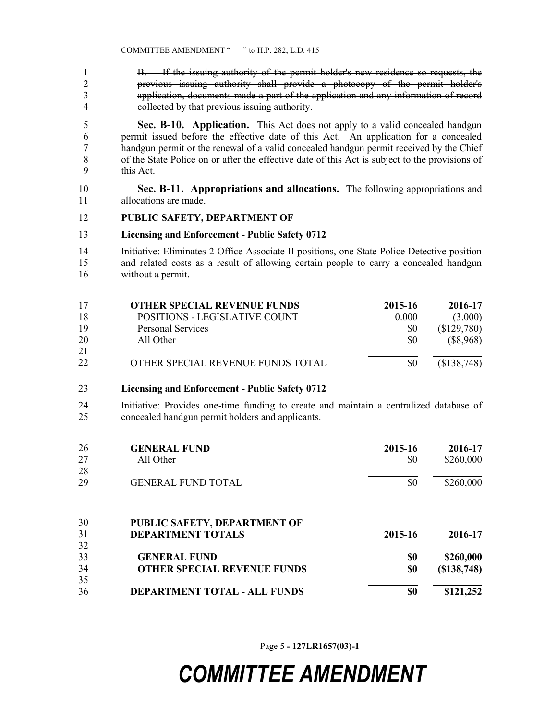B. If the issuing authority of the permit holder's new residence so requests, the previous issuing authority shall provide a photocopy of the permit holder's application, documents made a part of the application and any information of record collected by that previous issuing authority.

 **Sec. B-10. Application.** This Act does not apply to a valid concealed handgun permit issued before the effective date of this Act. An application for a concealed handgun permit or the renewal of a valid concealed handgun permit received by the Chief of the State Police on or after the effective date of this Act is subject to the provisions of this Act.

 **Sec. B-11. Appropriations and allocations.** The following appropriations and allocations are made.

#### **PUBLIC SAFETY, DEPARTMENT OF**

#### **Licensing and Enforcement - Public Safety 0712**

 Initiative: Eliminates 2 Office Associate II positions, one State Police Detective position and related costs as a result of allowing certain people to carry a concealed handgun without a permit.

| 17 | <b>OTHER SPECIAL REVENUE FUNDS</b> | 2015-16 | 2016-17     |
|----|------------------------------------|---------|-------------|
| 18 | POSITIONS - LEGISLATIVE COUNT      | 0.000   | (3.000)     |
| 19 | <b>Personal Services</b>           | \$0     | (\$129,780) |
| 20 | All Other                          | \$0     | (\$8,968)   |
| 21 |                                    |         |             |
| 22 | OTHER SPECIAL REVENUE FUNDS TOTAL  | \$0     | (\$138,748) |

#### **Licensing and Enforcement - Public Safety 0712**

 Initiative: Provides one-time funding to create and maintain a centralized database of concealed handgun permit holders and applicants.

| 26 | <b>GENERAL FUND</b>                 | 2015-16 | 2016-17     |
|----|-------------------------------------|---------|-------------|
| 27 | All Other                           | \$0     | \$260,000   |
| 28 |                                     |         |             |
| 29 | <b>GENERAL FUND TOTAL</b>           | \$0     | \$260,000   |
| 30 | PUBLIC SAFETY, DEPARTMENT OF        |         |             |
| 31 | <b>DEPARTMENT TOTALS</b>            | 2015-16 | 2016-17     |
| 32 |                                     |         |             |
| 33 | <b>GENERAL FUND</b>                 | \$0     | \$260,000   |
| 34 | <b>OTHER SPECIAL REVENUE FUNDS</b>  | \$0     | (S138, 748) |
| 35 |                                     |         |             |
| 36 | <b>DEPARTMENT TOTAL - ALL FUNDS</b> | \$0     | \$121,252   |

Page 5 **- 127LR1657(03)-1**